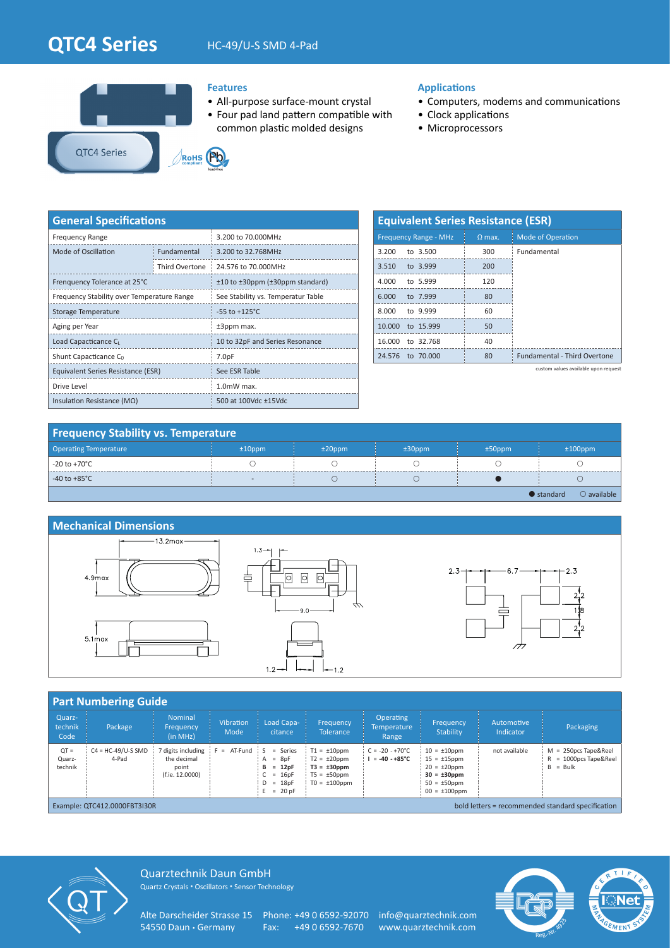# **QTC4 Series** HC-49/U-S SMD 4-Pad





## **Features**

- All-purpose surface-mount crystal
- Four pad land pattern compatible with common plastic molded designs

## **Applications**

- Computers, modems and communications
- Clock applications
- Microprocessors

| <b>General Specifications</b>              |                |                                    |  |  |  |  |
|--------------------------------------------|----------------|------------------------------------|--|--|--|--|
| <b>Frequency Range</b>                     |                | 3.200 to 70.000MHz                 |  |  |  |  |
| Mode of Oscillation                        | Fundamental    | 3.200 to 32.768MHz                 |  |  |  |  |
|                                            | Third Overtone | 24.576 to 70.000MHz                |  |  |  |  |
| Frenquency Tolerance at 25°C               |                | ±10 to ±30ppm (±30ppm standard)    |  |  |  |  |
| Frequency Stability over Temperature Range |                | See Stability vs. Temperatur Table |  |  |  |  |
| Storage Temperature                        |                | $-55$ to $+125^{\circ}$ C          |  |  |  |  |
| Aging per Year                             |                | ±3ppm max.                         |  |  |  |  |
| Load Capacticance C                        |                | 10 to 32pF and Series Resonance    |  |  |  |  |
| Shunt Capacticance C <sub>0</sub>          |                | 7.0 <sub>pF</sub>                  |  |  |  |  |
| Equivalent Series Resistance (ESR)         |                | See ESR Table                      |  |  |  |  |
| Drive Level                                |                | 1.0mW max.                         |  |  |  |  |
| Insulation Resistance ( $M\Omega$ )        |                | 500 at 100Vdc ±15Vdc               |  |  |  |  |

| <b>Equivalent Series Resistance (ESR)</b> |               |                                     |  |  |  |  |  |  |  |
|-------------------------------------------|---------------|-------------------------------------|--|--|--|--|--|--|--|
| <b>Frequency Range - MHz</b>              | $\Omega$ max. | <b>Mode of Operation</b>            |  |  |  |  |  |  |  |
| 3.200<br>to $3.500$                       | 300           | Fundamental                         |  |  |  |  |  |  |  |
| 3.510<br>to 3.999                         | 200           |                                     |  |  |  |  |  |  |  |
| 4.000<br>to 5.999                         | 120           |                                     |  |  |  |  |  |  |  |
| 6.000<br>to 7.999                         | 80            |                                     |  |  |  |  |  |  |  |
| 8.000<br>to 9.999                         | 60            |                                     |  |  |  |  |  |  |  |
| 10,000 to 15,999                          | 50            |                                     |  |  |  |  |  |  |  |
| 16.000<br>to 32.768                       | 40            |                                     |  |  |  |  |  |  |  |
| 24.576<br>to 70,000                       | 80            | <b>Fundamental - Third Overtone</b> |  |  |  |  |  |  |  |

custom values available upon request

## **Frequency Stability vs. Temperature**

| <b>Operating Temperature</b> | $±10$ ppm | $±20$ ppm | $±30$ ppm | $±50$ ppm | $±100$ ppm                                 |
|------------------------------|-----------|-----------|-----------|-----------|--------------------------------------------|
| -20 to +70°C                 |           |           |           |           |                                            |
| -40 to +85 $^{\circ}$ C      | $\sim$    |           |           |           |                                            |
|                              |           |           |           |           | $\bigcirc$ available<br>$\bullet$ standard |



| <b>Part Numbering Guide</b>                                                       |                               |                                                             |                          |                                                                              |                                                                                                     |                                                    |                                                                                                                             |                         |                                                             |  |
|-----------------------------------------------------------------------------------|-------------------------------|-------------------------------------------------------------|--------------------------|------------------------------------------------------------------------------|-----------------------------------------------------------------------------------------------------|----------------------------------------------------|-----------------------------------------------------------------------------------------------------------------------------|-------------------------|-------------------------------------------------------------|--|
| Quarz-<br>technik<br>Code                                                         | Package                       | <b>Nominal</b><br>Frequency<br>(in MHz)                     | <b>Vibration</b><br>Mode | Load Capa-<br>citance                                                        | Frequency<br>Tolerance                                                                              | <b>Operating</b><br><b>Temperature</b><br>Range    | Frequency<br>Stability                                                                                                      | Automotive<br>Indicator | Packaging                                                   |  |
| $QT =$<br>Quarz-<br>technik                                                       | $C4 = HC-49/U-S SMD$<br>4-Pad | digits including<br>the decimal<br>point<br>(f.ie. 12.0000) | AT-Fund S<br>$=$         | $=$ Series<br>$A = 8pF$<br>$B = 12pF$<br>$= 16pF$<br>$D = 18pF$<br>$= 20 pF$ | $T1 = \pm 10$ ppm<br>$T2 = \pm 20$ ppm<br>$T3 = \pm 30$ ppm<br>$T5 = \pm 50$ ppm<br>$TO = ±100$ ppm | $C = -20 - +70^{\circ}C$<br>$= -40 - +85^{\circ}C$ | $10 = \pm 10$ ppm<br>$15 = \pm 15$ ppm<br>$20 = \pm 20$ ppm<br>$30 = \pm 30$ ppm<br>$50 = \pm 50$ ppm<br>$00 = \pm 100$ ppm | not available           | $M = 250DCS$ Tape&Reel<br>= 1000pcs Tape&Reel<br>$B = Bulk$ |  |
| bold letters = recommended standard specification<br>Example: QTC412.0000FBT3I30R |                               |                                                             |                          |                                                                              |                                                                                                     |                                                    |                                                                                                                             |                         |                                                             |  |



Quarztechnik Daun GmbH Quartz Crystals • Oscillators • Sensor Technology

Alte Darscheider Strasse 15 Phone: +49 0 6592-92070 info@quarztechnik.com<br>54550 Daun • Germany Fax: +49 0 6592-7670 www.quarztechnik.com

Fax: +49 0 6592-7670 www.quarztechnik.com